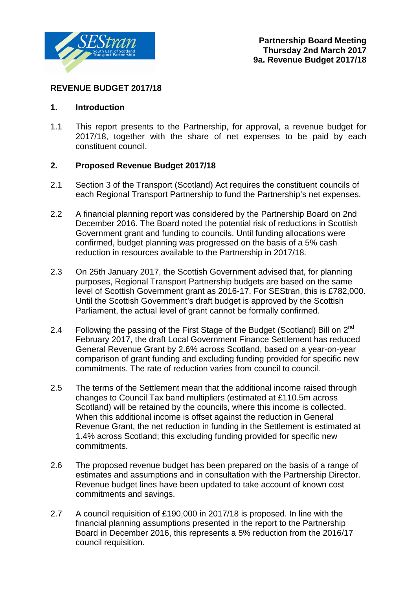

### **REVENUE BUDGET 2017/18**

#### **1. Introduction**

1.1 This report presents to the Partnership, for approval, a revenue budget for 2017/18, together with the share of net expenses to be paid by each constituent council.

### **2. Proposed Revenue Budget 2017/18**

- 2.1 Section 3 of the Transport (Scotland) Act requires the constituent councils of each Regional Transport Partnership to fund the Partnership's net expenses.
- 2.2 A financial planning report was considered by the Partnership Board on 2nd December 2016. The Board noted the potential risk of reductions in Scottish Government grant and funding to councils. Until funding allocations were confirmed, budget planning was progressed on the basis of a 5% cash reduction in resources available to the Partnership in 2017/18.
- 2.3 On 25th January 2017, the Scottish Government advised that, for planning purposes, Regional Transport Partnership budgets are based on the same level of Scottish Government grant as 2016-17. For SEStran, this is £782,000. Until the Scottish Government's draft budget is approved by the Scottish Parliament, the actual level of grant cannot be formally confirmed.
- 2.4 Following the passing of the First Stage of the Budget (Scotland) Bill on 2<sup>nd</sup> February 2017, the draft Local Government Finance Settlement has reduced General Revenue Grant by 2.6% across Scotland, based on a year-on-year comparison of grant funding and excluding funding provided for specific new commitments. The rate of reduction varies from council to council.
- 2.5 The terms of the Settlement mean that the additional income raised through changes to Council Tax band multipliers (estimated at £110.5m across Scotland) will be retained by the councils, where this income is collected. When this additional income is offset against the reduction in General Revenue Grant, the net reduction in funding in the Settlement is estimated at 1.4% across Scotland; this excluding funding provided for specific new commitments.
- 2.6 The proposed revenue budget has been prepared on the basis of a range of estimates and assumptions and in consultation with the Partnership Director. Revenue budget lines have been updated to take account of known cost commitments and savings.
- 2.7 A council requisition of £190,000 in 2017/18 is proposed. In line with the financial planning assumptions presented in the report to the Partnership Board in December 2016, this represents a 5% reduction from the 2016/17 council requisition.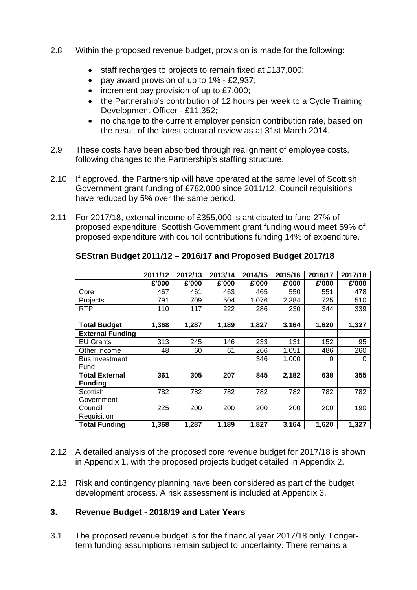- 2.8 Within the proposed revenue budget, provision is made for the following:
	- staff recharges to projects to remain fixed at £137,000;
	- pay award provision of up to 1% £2,937;
	- increment pay provision of up to £7,000;
	- the Partnership's contribution of 12 hours per week to a Cycle Training Development Officer - £11,352;
	- no change to the current employer pension contribution rate, based on the result of the latest actuarial review as at 31st March 2014.
- 2.9 These costs have been absorbed through realignment of employee costs, following changes to the Partnership's staffing structure.
- 2.10 If approved, the Partnership will have operated at the same level of Scottish Government grant funding of £782,000 since 2011/12. Council requisitions have reduced by 5% over the same period.
- 2.11 For 2017/18, external income of £355,000 is anticipated to fund 27% of proposed expenditure. Scottish Government grant funding would meet 59% of proposed expenditure with council contributions funding 14% of expenditure.

|                         | 2011/12 | 2012/13 | 2013/14 | 2014/15 | 2015/16 | 2016/17 | 2017/18 |
|-------------------------|---------|---------|---------|---------|---------|---------|---------|
|                         | £'000   | £'000   | £'000   | £'000   | £'000   | £'000   | £'000   |
| Core                    | 467     | 461     | 463     | 465     | 550     | 551     | 478     |
| Projects                | 791     | 709     | 504     | 1,076   | 2,384   | 725     | 510     |
| <b>RTPI</b>             | 110     | 117     | 222     | 286     | 230     | 344     | 339     |
|                         |         |         |         |         |         |         |         |
| <b>Total Budget</b>     | 1,368   | 1,287   | 1,189   | 1,827   | 3,164   | 1,620   | 1,327   |
| <b>External Funding</b> |         |         |         |         |         |         |         |
| <b>EU Grants</b>        | 313     | 245     | 146     | 233     | 131     | 152     | 95      |
| Other income            | 48      | 60      | 61      | 266     | 1,051   | 486     | 260     |
| <b>Bus Investment</b>   |         |         |         | 346     | 1,000   | 0       | 0       |
| Fund                    |         |         |         |         |         |         |         |
| <b>Total External</b>   | 361     | 305     | 207     | 845     | 2,182   | 638     | 355     |
| <b>Funding</b>          |         |         |         |         |         |         |         |
| Scottish                | 782     | 782     | 782     | 782     | 782     | 782     | 782     |
| Government              |         |         |         |         |         |         |         |
| Council                 | 225     | 200     | 200     | 200     | 200     | 200     | 190     |
| Requisition             |         |         |         |         |         |         |         |
| <b>Total Funding</b>    | 1,368   | 1,287   | 1,189   | 1,827   | 3,164   | 1,620   | 1,327   |

### **SEStran Budget 2011/12 – 2016/17 and Proposed Budget 2017/18**

- 2.12 A detailed analysis of the proposed core revenue budget for 2017/18 is shown in Appendix 1, with the proposed projects budget detailed in Appendix 2.
- 2.13 Risk and contingency planning have been considered as part of the budget development process. A risk assessment is included at Appendix 3.

### **3. Revenue Budget - 2018/19 and Later Years**

3.1 The proposed revenue budget is for the financial year 2017/18 only. Longerterm funding assumptions remain subject to uncertainty. There remains a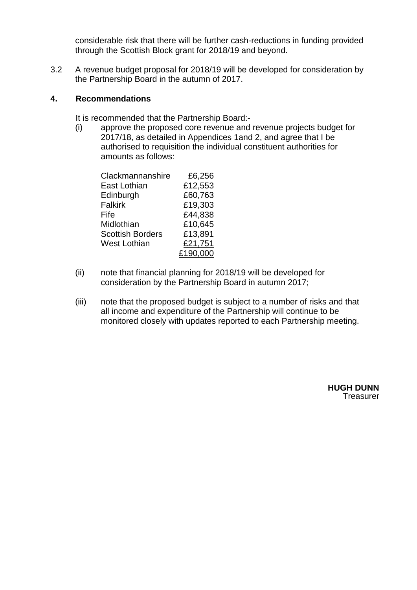considerable risk that there will be further cash-reductions in funding provided through the Scottish Block grant for 2018/19 and beyond.

3.2 A revenue budget proposal for 2018/19 will be developed for consideration by the Partnership Board in the autumn of 2017.

### **4. Recommendations**

It is recommended that the Partnership Board:-

(i) approve the proposed core revenue and revenue projects budget for 2017/18, as detailed in Appendices 1and 2, and agree that I be authorised to requisition the individual constituent authorities for amounts as follows:

| Clackmannanshire        | £6,256   |
|-------------------------|----------|
| East Lothian            | £12,553  |
| Edinburgh               | £60,763  |
| <b>Falkirk</b>          | £19,303  |
| Fife                    | £44,838  |
| Midlothian              | £10,645  |
| <b>Scottish Borders</b> | £13,891  |
| <b>West Lothian</b>     | £21,751  |
|                         | £190,000 |
|                         |          |

- (ii) note that financial planning for 2018/19 will be developed for consideration by the Partnership Board in autumn 2017;
- (iii) note that the proposed budget is subject to a number of risks and that all income and expenditure of the Partnership will continue to be monitored closely with updates reported to each Partnership meeting.

**HUGH DUNN Treasurer**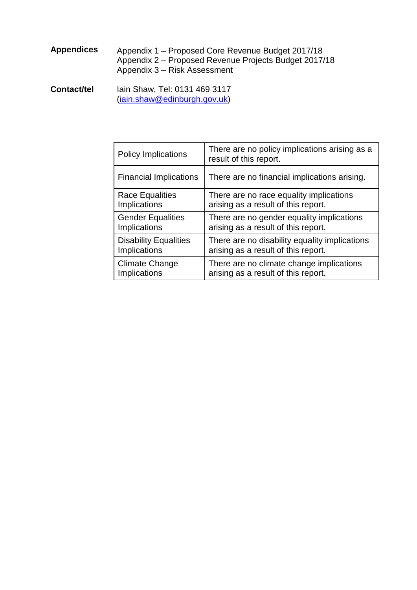# **Appendices** Appendix 1 – Proposed Core Revenue Budget 2017/18 Appendix 2 – Proposed Revenue Projects Budget 2017/18 Appendix 3 – Risk Assessment

**Contact/tel** Iain Shaw, Tel: 0131 469 3117 [\(iain.shaw@edinburgh.gov.uk\)](mailto:iain.shaw@edinburgh.gov.uk)

| <b>Policy Implications</b>    | There are no policy implications arising as a<br>result of this report. |
|-------------------------------|-------------------------------------------------------------------------|
| <b>Financial Implications</b> | There are no financial implications arising.                            |
| <b>Race Equalities</b>        | There are no race equality implications                                 |
| <b>Implications</b>           | arising as a result of this report.                                     |
| <b>Gender Equalities</b>      | There are no gender equality implications                               |
| Implications                  | arising as a result of this report.                                     |
| <b>Disability Equalities</b>  | There are no disability equality implications                           |
| <b>Implications</b>           | arising as a result of this report.                                     |
| <b>Climate Change</b>         | There are no climate change implications                                |
| Implications                  | arising as a result of this report.                                     |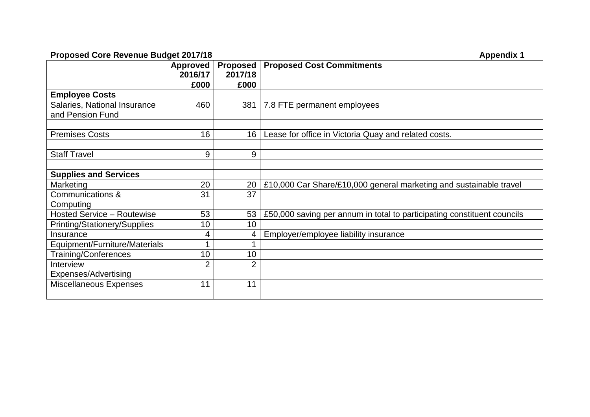### **Proposed Core Revenue Budget 2017/18 Appendix 1 Appendix 1**

|                                     | <b>Approved</b><br>2016/17 | <b>Proposed</b><br>2017/18 | <b>Proposed Cost Commitments</b>                                        |
|-------------------------------------|----------------------------|----------------------------|-------------------------------------------------------------------------|
|                                     | £000                       | £000                       |                                                                         |
| <b>Employee Costs</b>               |                            |                            |                                                                         |
| Salaries, National Insurance        | 460                        | 381                        | 7.8 FTE permanent employees                                             |
| and Pension Fund                    |                            |                            |                                                                         |
|                                     |                            |                            |                                                                         |
| <b>Premises Costs</b>               | 16                         | 16                         | Lease for office in Victoria Quay and related costs.                    |
|                                     |                            |                            |                                                                         |
| <b>Staff Travel</b>                 | 9                          | 9                          |                                                                         |
|                                     |                            |                            |                                                                         |
| <b>Supplies and Services</b>        |                            |                            |                                                                         |
| Marketing                           | 20                         | 20                         | £10,000 Car Share/£10,000 general marketing and sustainable travel      |
| Communications &                    | 31                         | 37                         |                                                                         |
| Computing                           |                            |                            |                                                                         |
| <b>Hosted Service - Routewise</b>   | 53                         | 53                         | £50,000 saving per annum in total to participating constituent councils |
| <b>Printing/Stationery/Supplies</b> | 10                         | 10                         |                                                                         |
| Insurance                           | 4                          | 4                          | Employer/employee liability insurance                                   |
| Equipment/Furniture/Materials       | 1                          |                            |                                                                         |
| Training/Conferences                | 10                         | 10                         |                                                                         |
| Interview                           | $\overline{2}$             | $\overline{2}$             |                                                                         |
| Expenses/Advertising                |                            |                            |                                                                         |
| <b>Miscellaneous Expenses</b>       | 11                         | 11                         |                                                                         |
|                                     |                            |                            |                                                                         |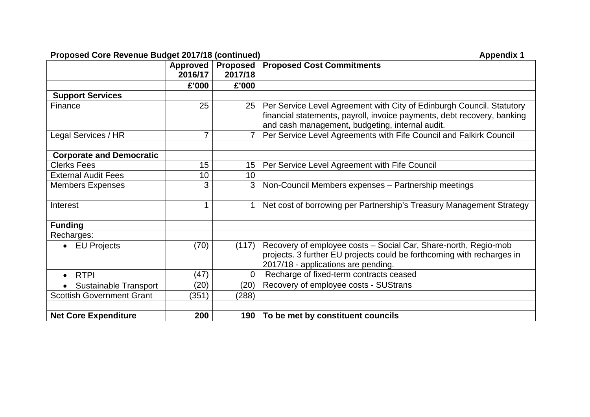### **Proposed Core Revenue Budget 2017/18 (continued) Appendix 1 Appendix 1**

|                                  | Approved<br>2016/17 | <b>Proposed</b><br>2017/18 | <b>Proposed Cost Commitments</b>                                                                                                                                                                    |
|----------------------------------|---------------------|----------------------------|-----------------------------------------------------------------------------------------------------------------------------------------------------------------------------------------------------|
|                                  | £'000               | £'000                      |                                                                                                                                                                                                     |
| <b>Support Services</b>          |                     |                            |                                                                                                                                                                                                     |
| Finance                          | 25                  | 25 <sup>1</sup>            | Per Service Level Agreement with City of Edinburgh Council. Statutory<br>financial statements, payroll, invoice payments, debt recovery, banking<br>and cash management, budgeting, internal audit. |
| Legal Services / HR              | 7                   |                            | Per Service Level Agreements with Fife Council and Falkirk Council                                                                                                                                  |
|                                  |                     |                            |                                                                                                                                                                                                     |
| <b>Corporate and Democratic</b>  |                     |                            |                                                                                                                                                                                                     |
| <b>Clerks Fees</b>               | 15                  | 15 <sub>1</sub>            | Per Service Level Agreement with Fife Council                                                                                                                                                       |
| <b>External Audit Fees</b>       | 10                  | 10                         |                                                                                                                                                                                                     |
| <b>Members Expenses</b>          | 3                   | 3                          | Non-Council Members expenses - Partnership meetings                                                                                                                                                 |
|                                  |                     |                            |                                                                                                                                                                                                     |
| Interest                         | 1                   | 1                          | Net cost of borrowing per Partnership's Treasury Management Strategy                                                                                                                                |
|                                  |                     |                            |                                                                                                                                                                                                     |
| <b>Funding</b>                   |                     |                            |                                                                                                                                                                                                     |
| Recharges:                       |                     |                            |                                                                                                                                                                                                     |
| • EU Projects                    | (70)                | (117)                      | Recovery of employee costs - Social Car, Share-north, Regio-mob<br>projects. 3 further EU projects could be forthcoming with recharges in<br>2017/18 - applications are pending.                    |
| <b>RTPI</b><br>$\bullet$         | (47)                | $\mathbf 0$                | Recharge of fixed-term contracts ceased                                                                                                                                                             |
| <b>Sustainable Transport</b>     | (20)                | (20)                       | Recovery of employee costs - SUStrans                                                                                                                                                               |
| <b>Scottish Government Grant</b> | (351)               | (288)                      |                                                                                                                                                                                                     |
|                                  |                     |                            |                                                                                                                                                                                                     |
| <b>Net Core Expenditure</b>      | 200                 |                            | 190 To be met by constituent councils                                                                                                                                                               |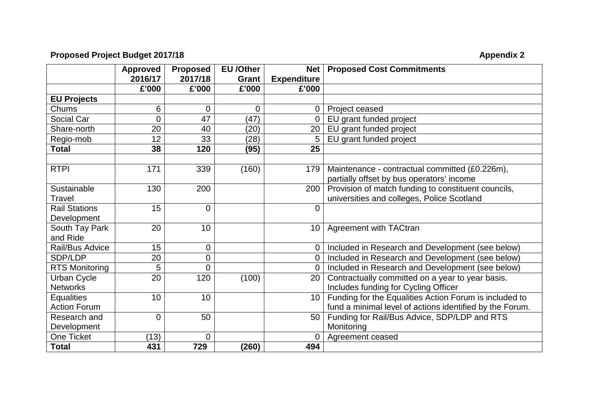# **Proposed Project Budget 2017/18** Appendix 2

|                       | <b>Approved</b> | <b>Proposed</b> | <b>EU</b> /Other | <b>Net</b>         | <b>Proposed Cost Commitments</b>                         |
|-----------------------|-----------------|-----------------|------------------|--------------------|----------------------------------------------------------|
|                       | 2016/17         | 2017/18         | Grant            | <b>Expenditure</b> |                                                          |
|                       | £'000           | £'000           | £'000            | £'000              |                                                          |
| <b>EU Projects</b>    |                 |                 |                  |                    |                                                          |
| Chums                 | 6               | $\mathbf 0$     | $\overline{0}$   | $\overline{0}$     | Project ceased                                           |
| Social Car            | 0               | 47              | (47)             | $\overline{0}$     | EU grant funded project                                  |
| Share-north           | 20              | 40              | (20)             | 20                 | EU grant funded project                                  |
| Regio-mob             | 12              | 33              | (28)             | 5                  | EU grant funded project                                  |
| <b>Total</b>          | 38              | 120             | (95)             | 25                 |                                                          |
|                       |                 |                 |                  |                    |                                                          |
| <b>RTPI</b>           | 171             | 339             | (160)            | 179                | Maintenance - contractual committed (£0.226m),           |
|                       |                 |                 |                  |                    | partially offset by bus operators' income                |
| Sustainable           | 130             | 200             |                  | 200                | Provision of match funding to constituent councils,      |
| Travel                |                 |                 |                  |                    | universities and colleges, Police Scotland               |
| <b>Rail Stations</b>  | 15              | $\mathbf 0$     |                  | $\mathbf 0$        |                                                          |
| Development           |                 |                 |                  |                    |                                                          |
| South Tay Park        | 20              | 10              |                  | 10                 | <b>Agreement with TACtran</b>                            |
| and Ride              |                 |                 |                  |                    |                                                          |
| Rail/Bus Advice       | 15              | $\overline{0}$  |                  | $\overline{0}$     | Included in Research and Development (see below)         |
| SDP/LDP               | 20              | 0               |                  | $\mathbf 0$        | Included in Research and Development (see below)         |
| <b>RTS Monitoring</b> | 5               | 0               |                  | $\overline{0}$     | Included in Research and Development (see below)         |
| <b>Urban Cycle</b>    | 20              | 120             | (100)            | 20                 | Contractually committed on a year to year basis.         |
| <b>Networks</b>       |                 |                 |                  |                    | Includes funding for Cycling Officer                     |
| <b>Equalities</b>     | 10              | 10              |                  | 10                 | Funding for the Equalities Action Forum is included to   |
| <b>Action Forum</b>   |                 |                 |                  |                    | fund a minimal level of actions identified by the Forum. |
| Research and          | $\overline{0}$  | 50              |                  | 50                 | Funding for Rail/Bus Advice, SDP/LDP and RTS             |
| Development           |                 |                 |                  |                    | Monitoring                                               |
| One Ticket            | (13)            | $\Omega$        |                  | $\overline{0}$     | Agreement ceased                                         |
| <b>Total</b>          | 431             | 729             | (260)            | 494                |                                                          |